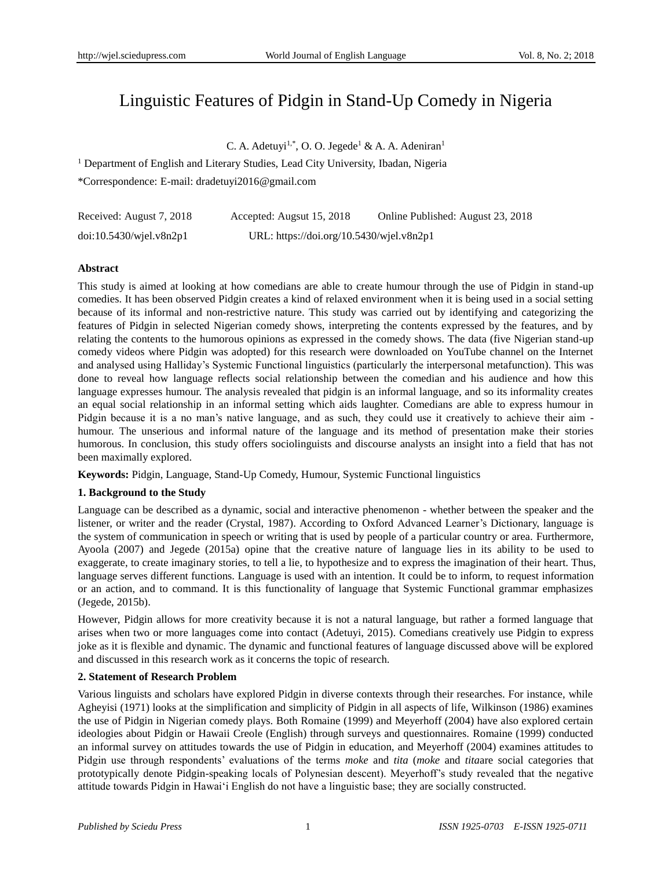# Linguistic Features of Pidgin in Stand-Up Comedy in Nigeria

C. A. Adetuyi<sup>1,\*</sup>, O. O. Jegede<sup>1</sup> & A. A. Adeniran<sup>1</sup>

<sup>1</sup> Department of English and Literary Studies, Lead City University, Ibadan, Nigeria \*Correspondence: E-mail: dradetuyi2016@gmail.com

| Received: August 7, 2018   | Accepted: Augsut 15, 2018                | Online Published: August 23, 2018 |
|----------------------------|------------------------------------------|-----------------------------------|
| $doi:10.5430/w$ jel.v8n2p1 | URL: https://doi.org/10.5430/wjel.v8n2p1 |                                   |

## **Abstract**

This study is aimed at looking at how comedians are able to create humour through the use of Pidgin in stand-up comedies. It has been observed Pidgin creates a kind of relaxed environment when it is being used in a social setting because of its informal and non-restrictive nature. This study was carried out by identifying and categorizing the features of Pidgin in selected Nigerian comedy shows, interpreting the contents expressed by the features, and by relating the contents to the humorous opinions as expressed in the comedy shows. The data (five Nigerian stand-up comedy videos where Pidgin was adopted) for this research were downloaded on YouTube channel on the Internet and analysed using Halliday's Systemic Functional linguistics (particularly the interpersonal metafunction). This was done to reveal how language reflects social relationship between the comedian and his audience and how this language expresses humour. The analysis revealed that pidgin is an informal language, and so its informality creates an equal social relationship in an informal setting which aids laughter. Comedians are able to express humour in Pidgin because it is a no man's native language, and as such, they could use it creatively to achieve their aim humour. The unserious and informal nature of the language and its method of presentation make their stories humorous. In conclusion, this study offers sociolinguists and discourse analysts an insight into a field that has not been maximally explored.

**Keywords:** Pidgin, Language, Stand-Up Comedy, Humour, Systemic Functional linguistics

## **1. Background to the Study**

Language can be described as a dynamic, social and interactive phenomenon - whether between the speaker and the listener, or writer and the reader (Crystal, 1987). According to Oxford Advanced Learner's Dictionary, language is the system of communication in speech or writing that is used by people of a particular country or area. Furthermore, Ayoola (2007) and Jegede (2015a) opine that the creative nature of language lies in its ability to be used to exaggerate, to create imaginary stories, to tell a lie, to hypothesize and to express the imagination of their heart. Thus, language serves different functions. Language is used with an intention. It could be to inform, to request information or an action, and to command. It is this functionality of language that Systemic Functional grammar emphasizes (Jegede, 2015b).

However, Pidgin allows for more creativity because it is not a natural language, but rather a formed language that arises when two or more languages come into contact (Adetuyi, 2015). Comedians creatively use Pidgin to express joke as it is flexible and dynamic. The dynamic and functional features of language discussed above will be explored and discussed in this research work as it concerns the topic of research.

## **2. Statement of Research Problem**

Various linguists and scholars have explored Pidgin in diverse contexts through their researches. For instance, while Agheyisi (1971) looks at the simplification and simplicity of Pidgin in all aspects of life, Wilkinson (1986) examines the use of Pidgin in Nigerian comedy plays. Both Romaine (1999) and Meyerhoff (2004) have also explored certain ideologies about Pidgin or Hawaii Creole (English) through surveys and questionnaires. Romaine (1999) conducted an informal survey on attitudes towards the use of Pidgin in education, and Meyerhoff (2004) examines attitudes to Pidgin use through respondents' evaluations of the terms *moke* and *tita* (*moke* and *tita*are social categories that prototypically denote Pidgin-speaking locals of Polynesian descent). Meyerhoff's study revealed that the negative attitude towards Pidgin in Hawai'i English do not have a linguistic base; they are socially constructed.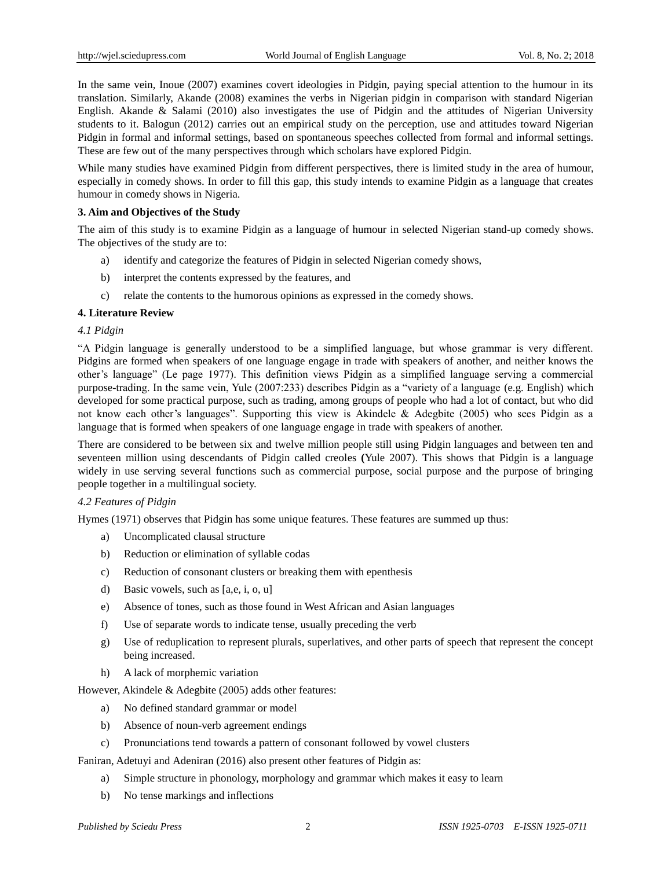In the same vein, Inoue (2007) examines covert ideologies in Pidgin, paying special attention to the humour in its translation. Similarly, Akande (2008) examines the verbs in Nigerian pidgin in comparison with standard Nigerian English. Akande & Salami (2010) also investigates the use of Pidgin and the attitudes of Nigerian University students to it. Balogun (2012) carries out an empirical study on the perception, use and attitudes toward Nigerian Pidgin in formal and informal settings, based on spontaneous speeches collected from formal and informal settings. These are few out of the many perspectives through which scholars have explored Pidgin.

While many studies have examined Pidgin from different perspectives, there is limited study in the area of humour, especially in comedy shows. In order to fill this gap, this study intends to examine Pidgin as a language that creates humour in comedy shows in Nigeria.

## **3. Aim and Objectives of the Study**

The aim of this study is to examine Pidgin as a language of humour in selected Nigerian stand-up comedy shows. The objectives of the study are to:

- a) identify and categorize the features of Pidgin in selected Nigerian comedy shows,
- b) interpret the contents expressed by the features, and
- c) relate the contents to the humorous opinions as expressed in the comedy shows.

### **4. Literature Review**

### *4.1 Pidgin*

"A Pidgin language is generally understood to be a simplified language, but whose grammar is very different. Pidgins are formed when speakers of one language engage in trade with speakers of another, and neither knows the other's language" (Le page 1977). This definition views Pidgin as a simplified language serving a commercial purpose-trading. In the same vein, Yule (2007:233) describes Pidgin as a "variety of a language (e.g. English) which developed for some practical purpose, such as trading, among groups of people who had a lot of contact, but who did not know each other's languages". Supporting this view is Akindele & Adegbite (2005) who sees Pidgin as a language that is formed when speakers of one language engage in trade with speakers of another.

There are considered to be between six and twelve million people still using Pidgin languages and between ten and seventeen million using descendants of Pidgin called creoles **(**Yule 2007). This shows that Pidgin is a language widely in use serving several functions such as commercial purpose, social purpose and the purpose of bringing people together in a multilingual society.

#### *4.2 Features of Pidgin*

Hymes (1971) observes that Pidgin has some unique features. These features are summed up thus:

- a) Uncomplicated clausal structure
- b) Reduction or elimination of syllable codas
- c) Reduction of consonant clusters or breaking them with epenthesis
- d) Basic vowels, such as [a,e, i, o, u]
- e) Absence of tones, such as those found in West African and Asian languages
- f) Use of separate words to indicate tense, usually preceding the verb
- g) Use of reduplication to represent plurals, superlatives, and other parts of speech that represent the concept being increased.
- h) A lack of morphemic variation

However, Akindele & Adegbite (2005) adds other features:

- a) No defined standard grammar or model
- b) Absence of noun-verb agreement endings
- c) Pronunciations tend towards a pattern of consonant followed by vowel clusters

Faniran, Adetuyi and Adeniran (2016) also present other features of Pidgin as:

- a) Simple structure in phonology, morphology and grammar which makes it easy to learn
- b) No tense markings and inflections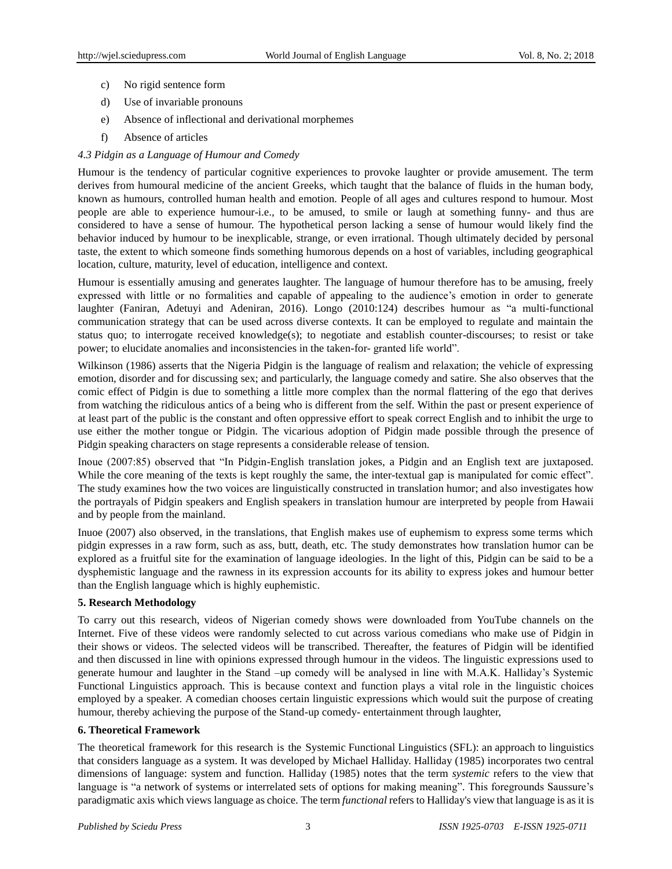- c) No rigid sentence form
- d) Use of invariable pronouns
- e) Absence of inflectional and derivational morphemes
- f) Absence of articles

## *4.3 Pidgin as a Language of Humour and Comedy*

Humour is the tendency of particular cognitive experiences to provoke laughter or provide amusement. The term derives from humoural medicine of the ancient Greeks, which taught that the balance of fluids in the human body, known as humours, controlled human health and emotion. People of all ages and cultures respond to humour. Most people are able to experience humour-i.e., to be amused, to smile or laugh at something funny- and thus are considered to have a sense of humour. The hypothetical person lacking a sense of humour would likely find the behavior induced by humour to be inexplicable, strange, or even irrational. Though ultimately decided by personal taste, the extent to which someone finds something humorous depends on a host of variables, including geographical location, culture, maturity, level of education, intelligence and context.

Humour is essentially amusing and generates laughter. The language of humour therefore has to be amusing, freely expressed with little or no formalities and capable of appealing to the audience's emotion in order to generate laughter (Faniran, Adetuyi and Adeniran, 2016). Longo (2010:124) describes humour as "a multi-functional communication strategy that can be used across diverse contexts. It can be employed to regulate and maintain the status quo; to interrogate received knowledge(s); to negotiate and establish counter-discourses; to resist or take power; to elucidate anomalies and inconsistencies in the taken-for- granted life world".

Wilkinson (1986) asserts that the Nigeria Pidgin is the language of realism and relaxation; the vehicle of expressing emotion, disorder and for discussing sex; and particularly, the language comedy and satire. She also observes that the comic effect of Pidgin is due to something a little more complex than the normal flattering of the ego that derives from watching the ridiculous antics of a being who is different from the self. Within the past or present experience of at least part of the public is the constant and often oppressive effort to speak correct English and to inhibit the urge to use either the mother tongue or Pidgin. The vicarious adoption of Pidgin made possible through the presence of Pidgin speaking characters on stage represents a considerable release of tension.

Inoue (2007:85) observed that "In Pidgin-English translation jokes, a Pidgin and an English text are juxtaposed. While the core meaning of the texts is kept roughly the same, the inter-textual gap is manipulated for comic effect". The study examines how the two voices are linguistically constructed in translation humor; and also investigates how the portrayals of Pidgin speakers and English speakers in translation humour are interpreted by people from Hawaii and by people from the mainland.

Inuoe (2007) also observed, in the translations, that English makes use of euphemism to express some terms which pidgin expresses in a raw form, such as ass, butt, death, etc. The study demonstrates how translation humor can be explored as a fruitful site for the examination of language ideologies. In the light of this, Pidgin can be said to be a dysphemistic language and the rawness in its expression accounts for its ability to express jokes and humour better than the English language which is highly euphemistic.

## **5. Research Methodology**

To carry out this research, videos of Nigerian comedy shows were downloaded from YouTube channels on the Internet. Five of these videos were randomly selected to cut across various comedians who make use of Pidgin in their shows or videos. The selected videos will be transcribed. Thereafter, the features of Pidgin will be identified and then discussed in line with opinions expressed through humour in the videos. The linguistic expressions used to generate humour and laughter in the Stand –up comedy will be analysed in line with M.A.K. Halliday's Systemic Functional Linguistics approach. This is because context and function plays a vital role in the linguistic choices employed by a speaker. A comedian chooses certain linguistic expressions which would suit the purpose of creating humour, thereby achieving the purpose of the Stand-up comedy- entertainment through laughter,

## **6. Theoretical Framework**

The theoretical framework for this research is the Systemic Functional Linguistics (SFL): an approach t[o linguistics](http://en.wikipedia.org/wiki/Linguistics) that considers [language](http://en.wikipedia.org/wiki/Language) as a [system.](http://en.wikipedia.org/wiki/System) It was developed by [Michael Halliday.](http://en.wikipedia.org/wiki/Michael_Halliday) Halliday (1985) incorporates two central dimensions of language: system and function. Halliday (1985) notes that the term *systemic* refers to the view that language is "a network of systems or interrelated sets of options for making meaning". This foregrounds Saussure's paradigmatic axis which views language as choice. The term *functional* refers to Halliday's view that language is as it is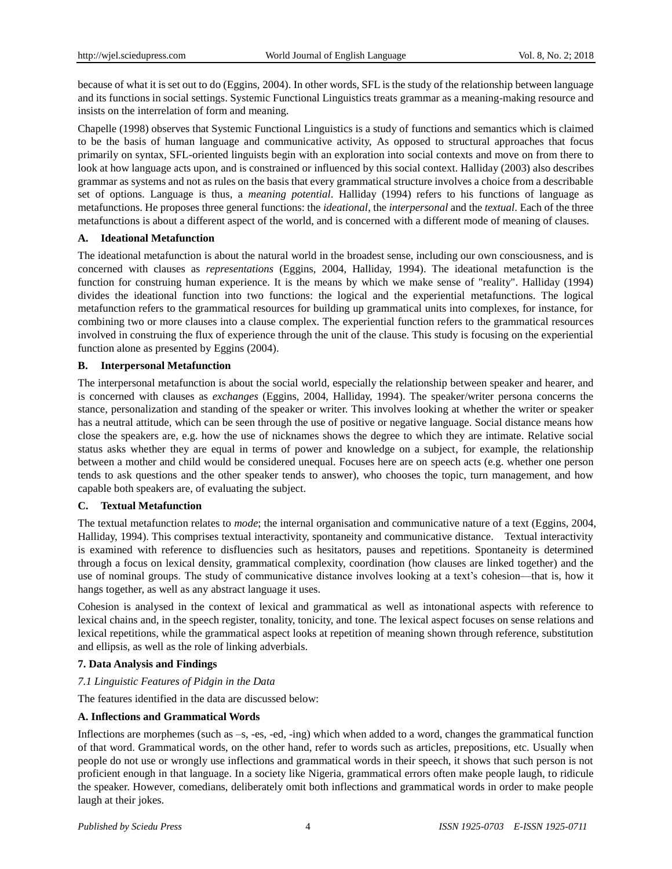because of what it is set out to do (Eggins, 2004). In other words, SFL is the study of the relationship betwee[n language](http://grammar.about.com/od/il/g/languageterm.htm) and its functions in social settings. Systemic Functional Linguistics treat[s grammar](http://grammar.about.com/od/fh/g/grammarterm.htm) as a meaning-making resource and insists on the interrelation of form and meaning.

Chapelle (1998) observes that Systemic Functional Linguistics is a study of functions and semantics which is claimed to be the basis of human language and communicative activity, As opposed to structural approaches that focus primarily on syntax, SFL-oriented linguists begin with an exploration into social contexts and move on from there to look at how language acts upon, and is constrained or influenced by this social context. Halliday (2003) also describes grammar as systems and not as rules on the basis that every grammatical structure involves a choice from a describable set of options. Language is thus, a *meaning potential*. Halliday (1994) refers to his functions of language as [metafunctions.](http://en.wikipedia.org/wiki/Metafunction) He proposes three general functions: the *ideational*, the *interpersonal* and the *textual*. Each of the three metafunctions is about a different aspect of the world, and is concerned with a different mode of meaning of clauses.

## **A. Ideational Metafunction**

The ideational metafunction is about the natural world in the broadest sense, including our own consciousness, and is concerned with clauses as *representations* (Eggins, 2004, Halliday, 1994). The ideational metafunction is the function for construing human experience. It is the means by which we make sense of "reality". Halliday (1994) divides the ideational function into two functions: the logical and the experiential metafunctions. The logical metafunction refers to the grammatical resources for building up grammatical units into complexes, for instance, for combining two or more clauses into a clause complex. The experiential function refers to the grammatical resources involved in construing the flux of experience through the unit of the clause. This study is focusing on the experiential function alone as presented by Eggins (2004).

## **B. Interpersonal Metafunction**

The interpersonal metafunction is about the social world, especially the relationship between speaker and hearer, and is concerned with clauses as *exchanges* (Eggins, 2004, Halliday, 1994). The speaker/writer persona concerns the stance, personalization and standing of the speaker or writer. This involves looking at whether the writer or speaker has a neutral [attitude,](http://en.wikipedia.org/wiki/Attitude_(psychology)) which can be seen through the use of positive or negative language. Social distance means how close the speakers are, e.g. how the use of [nicknames](http://en.wikipedia.org/wiki/Nicknames) shows the degree to which they are intimate. Relative social status asks whether they are equal in terms of power and knowledge on a subject, for example, the relationship between a mother and child would be considered unequal. Focuses here are on [speech acts](http://en.wikipedia.org/wiki/Speech_acts) (e.g. whether one person tends to ask questions and the other speaker tends to answer), who chooses the topic, turn management, and how capable both speakers are, of [evaluating](http://en.wikipedia.org/wiki/Evaluation) the subject.

## **C. Textual Metafunction**

The textual metafunction relates to *mode*; the internal organisation and communicative nature of a text (Eggins, 2004, Halliday, 1994). This comprises textual interactivity, spontaneity and communicative distance. Textual interactivity is examined with reference to [disfluencies](http://en.wikipedia.org/wiki/Speech_disfluency) such as hesitators, pauses and repetitions. Spontaneity is determined through a focus on [lexical density,](http://en.wikipedia.org/wiki/Lexical_density) grammatical complexity, [coordination](http://en.wikipedia.org/wiki/Coordination_(linguistics)) (how clauses are linked together) and the use of [nominal groups.](http://en.wikipedia.org/wiki/Nominal_group_(language)) The study of communicative distance involves looking at a text's [cohesion—](http://en.wikipedia.org/wiki/Cohesion_(linguistics))that is, how it hangs together, as well as any abstract language it uses.

Cohesion is analysed in the context of lexical and grammatical as well as [intonational](http://en.wikipedia.org/wiki/Intonation_(linguistics)) aspects with reference to [lexical chains](http://en.wikipedia.org/wiki/Lexical_chain) and, in the speech register, tonality, tonicity, and [tone.](http://en.wikipedia.org/wiki/Tone_(linguistics)) The lexical aspect focuses on sense relations and lexical repetitions, while the grammatical aspect looks at repetition of meaning shown through reference, substitution and [ellipsis,](http://en.wikipedia.org/wiki/Elliptical_construction) as well as the role of linking [adverbials.](http://en.wikipedia.org/wiki/Adverbial)

## **7. Data Analysis and Findings**

## *7.1 Linguistic Features of Pidgin in the Data*

The features identified in the data are discussed below:

## **A. Inflections and Grammatical Words**

Inflections are morphemes (such as –s, -es, -ed, -ing) which when added to a word, changes the grammatical function of that word. Grammatical words, on the other hand, refer to words such as articles, prepositions, etc. Usually when people do not use or wrongly use inflections and grammatical words in their speech, it shows that such person is not proficient enough in that language. In a society like Nigeria, grammatical errors often make people laugh, to ridicule the speaker. However, comedians, deliberately omit both inflections and grammatical words in order to make people laugh at their jokes.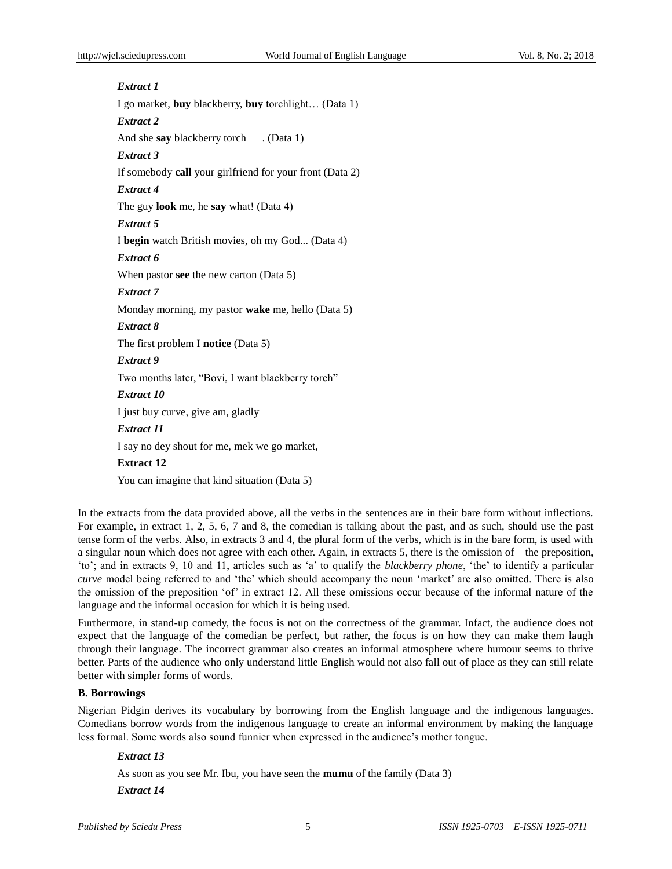#### *Extract 1*

I go market, **buy** blackberry, **buy** torchlight… (Data 1)

*Extract 2*

And she **say** blackberry torch . (Data 1)

*Extract 3*

If somebody **call** your girlfriend for your front (Data 2)

### *Extract 4*

The guy **look** me, he **say** what! (Data 4)

*Extract 5*

I **begin** watch British movies, oh my God... (Data 4)

*Extract 6*

When pastor **see** the new carton (Data 5)

*Extract 7*

Monday morning, my pastor **wake** me, hello (Data 5)

*Extract 8*

The first problem I **notice** (Data 5)

*Extract 9*

Two months later, "Bovi, I want blackberry torch"

## *Extract 10*

I just buy curve, give am, gladly

#### *Extract 11*

I say no dey shout for me, mek we go market,

## **Extract 12**

You can imagine that kind situation (Data 5)

In the extracts from the data provided above, all the verbs in the sentences are in their bare form without inflections. For example, in extract 1, 2, 5, 6, 7 and 8, the comedian is talking about the past, and as such, should use the past tense form of the verbs. Also, in extracts 3 and 4, the plural form of the verbs, which is in the bare form, is used with a singular noun which does not agree with each other. Again, in extracts 5, there is the omission of the preposition, 'to'; and in extracts 9, 10 and 11, articles such as 'a' to qualify the *blackberry phone*, 'the' to identify a particular *curve* model being referred to and 'the' which should accompany the noun 'market' are also omitted. There is also the omission of the preposition 'of' in extract 12. All these omissions occur because of the informal nature of the language and the informal occasion for which it is being used.

Furthermore, in stand-up comedy, the focus is not on the correctness of the grammar. Infact, the audience does not expect that the language of the comedian be perfect, but rather, the focus is on how they can make them laugh through their language. The incorrect grammar also creates an informal atmosphere where humour seems to thrive better. Parts of the audience who only understand little English would not also fall out of place as they can still relate better with simpler forms of words.

## **B. Borrowings**

Nigerian Pidgin derives its vocabulary by borrowing from the English language and the indigenous languages. Comedians borrow words from the indigenous language to create an informal environment by making the language less formal. Some words also sound funnier when expressed in the audience's mother tongue.

## *Extract 13*

As soon as you see Mr. Ibu, you have seen the **mumu** of the family (Data 3)

*Extract 14*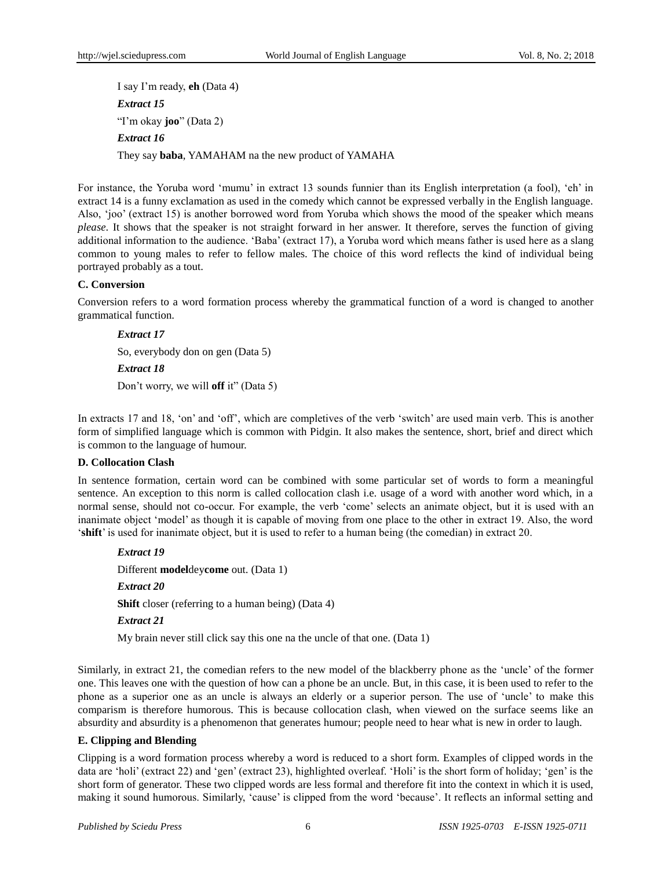I say I'm ready, **eh** (Data 4) *Extract 15* "I'm okay **joo**" (Data 2) *Extract 16* They say **baba**, YAMAHAM na the new product of YAMAHA

For instance, the Yoruba word 'mumu' in extract 13 sounds funnier than its English interpretation (a fool), 'eh' in extract 14 is a funny exclamation as used in the comedy which cannot be expressed verbally in the English language. Also, 'joo' (extract 15) is another borrowed word from Yoruba which shows the mood of the speaker which means *please*. It shows that the speaker is not straight forward in her answer. It therefore, serves the function of giving additional information to the audience. 'Baba' (extract 17), a Yoruba word which means father is used here as a slang common to young males to refer to fellow males. The choice of this word reflects the kind of individual being portrayed probably as a tout.

### **C. Conversion**

Conversion refers to a word formation process whereby the grammatical function of a word is changed to another grammatical function.

## *Extract 17*

So, everybody don on gen (Data 5)

*Extract 18*

Don't worry, we will **off** it" (Data 5)

In extracts 17 and 18, 'on' and 'off', which are completives of the verb 'switch' are used main verb. This is another form of simplified language which is common with Pidgin. It also makes the sentence, short, brief and direct which is common to the language of humour.

#### **D. Collocation Clash**

In sentence formation, certain word can be combined with some particular set of words to form a meaningful sentence. An exception to this norm is called collocation clash i.e. usage of a word with another word which, in a normal sense, should not co-occur. For example, the verb 'come' selects an animate object, but it is used with an inanimate object 'model' as though it is capable of moving from one place to the other in extract 19. Also, the word '**shift**' is used for inanimate object, but it is used to refer to a human being (the comedian) in extract 20.

*Extract 19* Different **model**dey**come** out. (Data 1) *Extract 20* **Shift** closer (referring to a human being) (Data 4) *Extract 21* My brain never still click say this one na the uncle of that one. (Data 1)

Similarly, in extract 21, the comedian refers to the new model of the blackberry phone as the 'uncle' of the former one. This leaves one with the question of how can a phone be an uncle. But, in this case, it is been used to refer to the phone as a superior one as an uncle is always an elderly or a superior person. The use of 'uncle' to make this comparism is therefore humorous. This is because collocation clash, when viewed on the surface seems like an absurdity and absurdity is a phenomenon that generates humour; people need to hear what is new in order to laugh.

## **E. Clipping and Blending**

Clipping is a word formation process whereby a word is reduced to a short form. Examples of clipped words in the data are 'holi' (extract 22) and 'gen' (extract 23), highlighted overleaf. 'Holi' is the short form of holiday; 'gen' is the short form of generator. These two clipped words are less formal and therefore fit into the context in which it is used, making it sound humorous. Similarly, 'cause' is clipped from the word 'because'. It reflects an informal setting and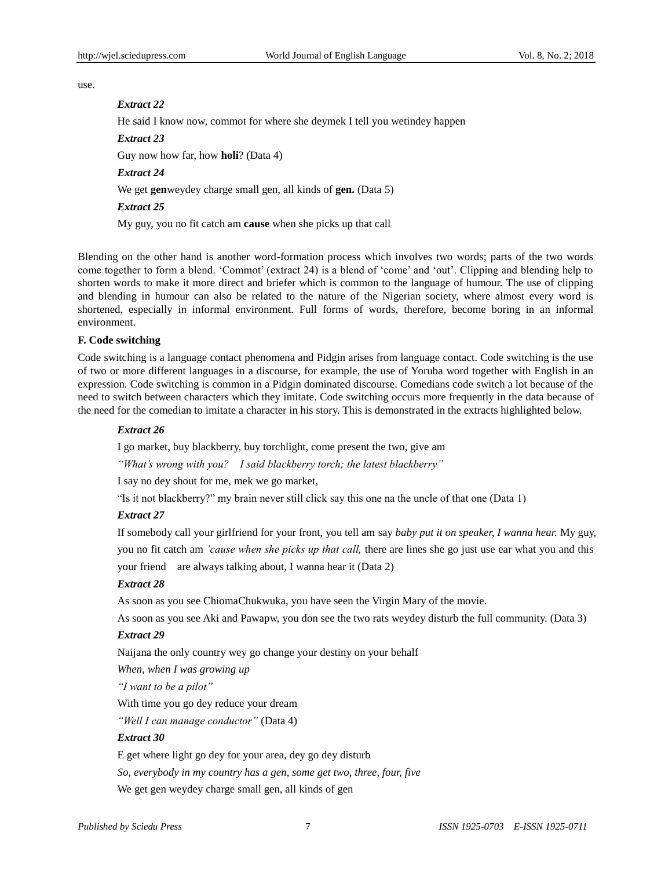use.

## *Extract 22*

He said I know now, commot for where she deymek I tell you wetindey happen

*Extract 23*

Guy now how far, how **holi**? (Data 4)

*Extract 24*

We get **gen**weydey charge small gen, all kinds of **gen.** (Data 5)

*Extract 25*

My guy, you no fit catch am **cause** when she picks up that call

Blending on the other hand is another word-formation process which involves two words; parts of the two words come together to form a blend. 'Commot' (extract 24) is a blend of 'come' and 'out'. Clipping and blending help to shorten words to make it more direct and briefer which is common to the language of humour. The use of clipping and blending in humour can also be related to the nature of the Nigerian society, where almost every word is shortened, especially in informal environment. Full forms of words, therefore, become boring in an informal environment.

#### **F. Code switching**

Code switching is a language contact phenomena and Pidgin arises from language contact. Code switching is the use of two or more different languages in a discourse, for example, the use of Yoruba word together with English in an expression. Code switching is common in a Pidgin dominated discourse. Comedians code switch a lot because of the need to switch between characters which they imitate. Code switching occurs more frequently in the data because of the need for the comedian to imitate a character in his story. This is demonstrated in the extracts highlighted below.

#### *Extract 26*

I go market, buy blackberry, buy torchlight, come present the two, give am

*"What's wrong with you? I said blackberry torch; the latest blackberry"*

I say no dey shout for me, mek we go market,

"Is it not blackberry?" my brain never still click say this one na the uncle of that one (Data 1)

#### *Extract 27*

If somebody call your girlfriend for your front, you tell am say *baby put it on speaker, I wanna hear.* My guy, you no fit catch am *'cause when she picks up that call,* there are lines she go just use ear what you and this your friend are always talking about, I wanna hear it (Data 2)

#### *Extract 28*

As soon as you see ChiomaChukwuka, you have seen the Virgin Mary of the movie.

As soon as you see Aki and Pawapw, you don see the two rats weydey disturb the full community. (Data 3)

#### *Extract 29*

Naijana the only country wey go change your destiny on your behalf

*When, when I was growing up*

*"I want to be a pilot"*

With time you go dey reduce your dream

*"Well I can manage conductor"* (Data 4)

## *Extract 30*

E get where light go dey for your area, dey go dey disturb

*So, everybody in my country has a gen, some get two, three, four, five*

We get gen weydey charge small gen, all kinds of gen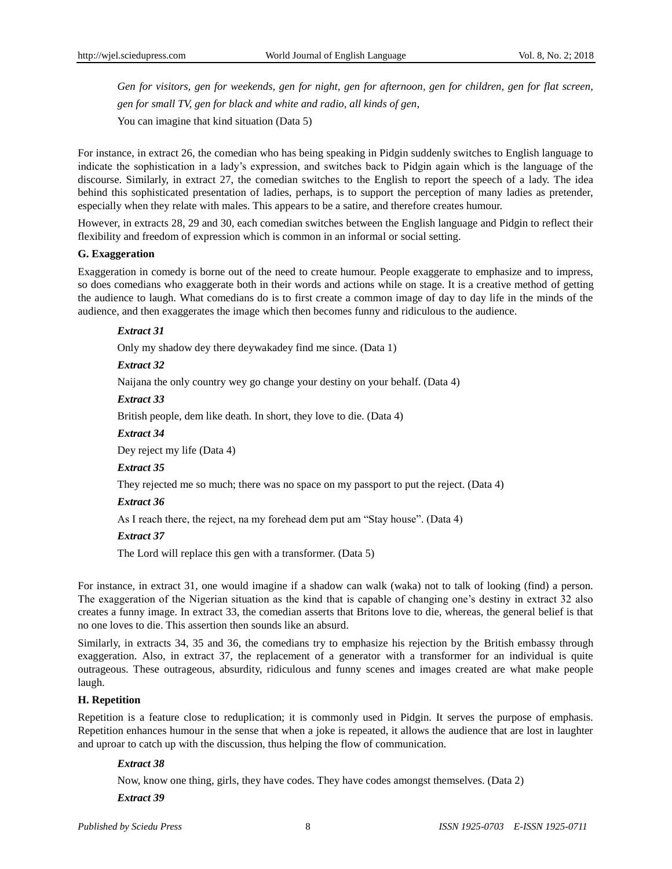*Gen for visitors, gen for weekends, gen for night, gen for afternoon, gen for children, gen for flat screen, gen for small TV, gen for black and white and radio, all kinds of gen,*

You can imagine that kind situation (Data 5)

For instance, in extract 26, the comedian who has being speaking in Pidgin suddenly switches to English language to indicate the sophistication in a lady's expression, and switches back to Pidgin again which is the language of the discourse. Similarly, in extract 27, the comedian switches to the English to report the speech of a lady. The idea behind this sophisticated presentation of ladies, perhaps, is to support the perception of many ladies as pretender, especially when they relate with males. This appears to be a satire, and therefore creates humour.

However, in extracts 28, 29 and 30, each comedian switches between the English language and Pidgin to reflect their flexibility and freedom of expression which is common in an informal or social setting.

#### **G. Exaggeration**

Exaggeration in comedy is borne out of the need to create humour. People exaggerate to emphasize and to impress, so does comedians who exaggerate both in their words and actions while on stage. It is a creative method of getting the audience to laugh. What comedians do is to first create a common image of day to day life in the minds of the audience, and then exaggerates the image which then becomes funny and ridiculous to the audience.

## *Extract 31*

Only my shadow dey there deywakadey find me since. (Data 1)

### *Extract 32*

Naijana the only country wey go change your destiny on your behalf. (Data 4)

#### *Extract 33*

British people, dem like death. In short, they love to die. (Data 4)

#### *Extract 34*

Dey reject my life (Data 4)

#### *Extract 35*

They rejected me so much; there was no space on my passport to put the reject. (Data 4)

#### *Extract 36*

As I reach there, the reject, na my forehead dem put am "Stay house". (Data 4)

#### *Extract 37*

The Lord will replace this gen with a transformer. (Data 5)

For instance, in extract 31, one would imagine if a shadow can walk (waka) not to talk of looking (find) a person. The exaggeration of the Nigerian situation as the kind that is capable of changing one's destiny in extract 32 also creates a funny image. In extract 33, the comedian asserts that Britons love to die, whereas, the general belief is that no one loves to die. This assertion then sounds like an absurd.

Similarly, in extracts 34, 35 and 36, the comedians try to emphasize his rejection by the British embassy through exaggeration. Also, in extract 37, the replacement of a generator with a transformer for an individual is quite outrageous. These outrageous, absurdity, ridiculous and funny scenes and images created are what make people laugh.

#### **H. Repetition**

Repetition is a feature close to reduplication; it is commonly used in Pidgin. It serves the purpose of emphasis. Repetition enhances humour in the sense that when a joke is repeated, it allows the audience that are lost in laughter and uproar to catch up with the discussion, thus helping the flow of communication.

## *Extract 38*

Now, know one thing, girls, they have codes. They have codes amongst themselves. (Data 2)

*Extract 39*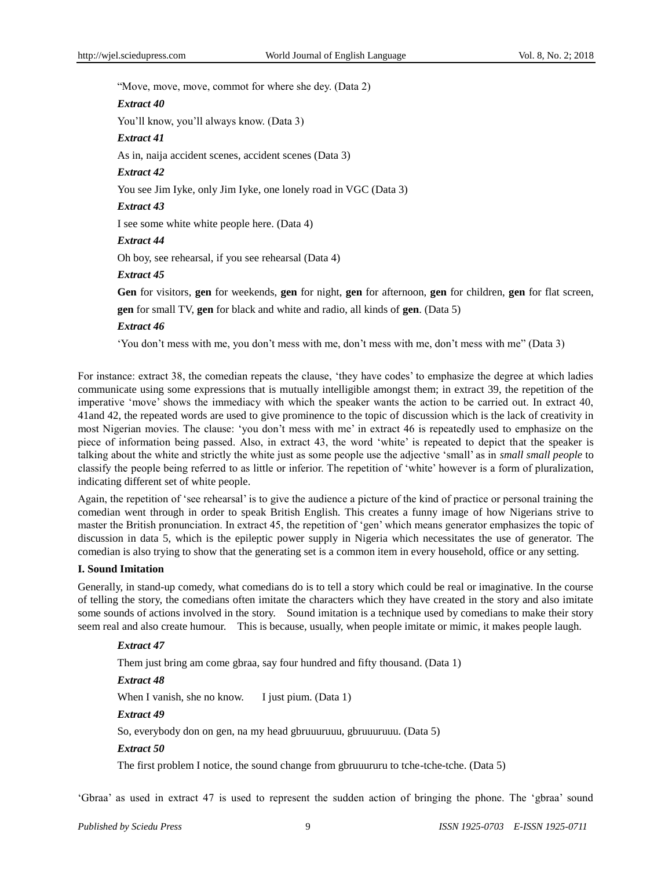"Move, move, move, commot for where she dey. (Data 2) *Extract 40* You'll know, you'll always know. (Data 3) *Extract 41* As in, naija accident scenes, accident scenes (Data 3) *Extract 42* You see Jim Iyke, only Jim Iyke, one lonely road in VGC (Data 3) *Extract 43* I see some white white people here. (Data 4) *Extract 44* Oh boy, see rehearsal, if you see rehearsal (Data 4) *Extract 45* **Gen** for visitors, **gen** for weekends, **gen** for night, **gen** for afternoon, **gen** for children, **gen** for flat screen, **gen** for small TV, **gen** for black and white and radio, all kinds of **gen**. (Data 5) *Extract 46*

'You don't mess with me, you don't mess with me, don't mess with me, don't mess with me" (Data 3)

For instance: extract 38, the comedian repeats the clause, 'they have codes' to emphasize the degree at which ladies communicate using some expressions that is mutually intelligible amongst them; in extract 39, the repetition of the imperative 'move' shows the immediacy with which the speaker wants the action to be carried out. In extract 40, 41and 42, the repeated words are used to give prominence to the topic of discussion which is the lack of creativity in most Nigerian movies. The clause: 'you don't mess with me' in extract 46 is repeatedly used to emphasize on the piece of information being passed. Also, in extract 43, the word 'white' is repeated to depict that the speaker is talking about the white and strictly the white just as some people use the adjective 'small' as in *small small people* to classify the people being referred to as little or inferior. The repetition of 'white' however is a form of pluralization, indicating different set of white people.

Again, the repetition of 'see rehearsal' is to give the audience a picture of the kind of practice or personal training the comedian went through in order to speak British English. This creates a funny image of how Nigerians strive to master the British pronunciation. In extract 45, the repetition of 'gen' which means generator emphasizes the topic of discussion in data 5, which is the epileptic power supply in Nigeria which necessitates the use of generator. The comedian is also trying to show that the generating set is a common item in every household, office or any setting.

#### **I. Sound Imitation**

Generally, in stand-up comedy, what comedians do is to tell a story which could be real or imaginative. In the course of telling the story, the comedians often imitate the characters which they have created in the story and also imitate some sounds of actions involved in the story. Sound imitation is a technique used by comedians to make their story seem real and also create humour. This is because, usually, when people imitate or mimic, it makes people laugh.

#### *Extract 47*

Them just bring am come gbraa, say four hundred and fifty thousand. (Data 1)

#### *Extract 48*

When I vanish, she no know. I just pium. (Data 1)

#### *Extract 49*

So, everybody don on gen, na my head gbruuuruuu, gbruuuruuu. (Data 5)

#### *Extract 50*

The first problem I notice, the sound change from gbruuururu to tche-tche-tche. (Data 5)

'Gbraa' as used in extract 47 is used to represent the sudden action of bringing the phone. The 'gbraa' sound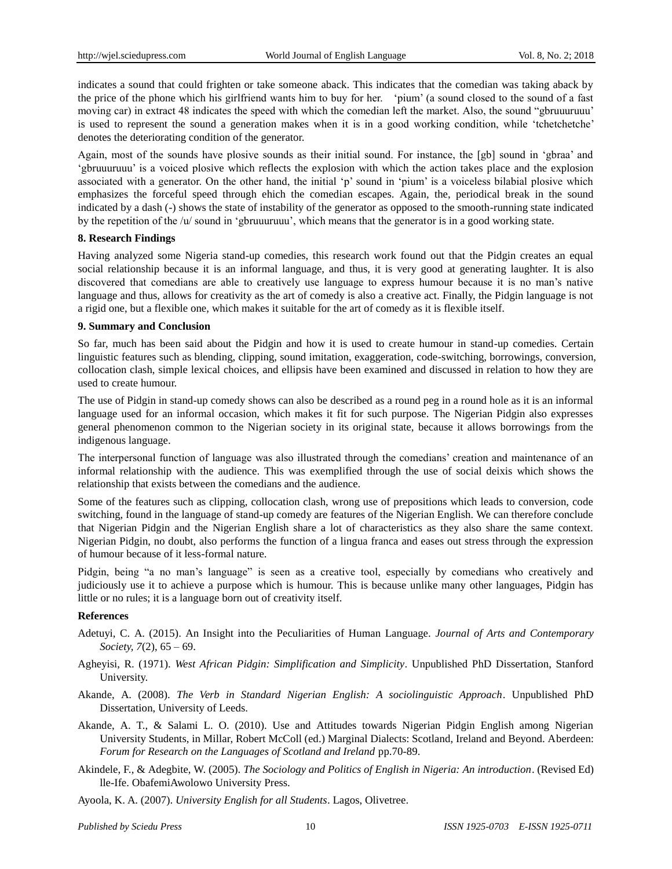indicates a sound that could frighten or take someone aback. This indicates that the comedian was taking aback by the price of the phone which his girlfriend wants him to buy for her. 'pium' (a sound closed to the sound of a fast moving car) in extract 48 indicates the speed with which the comedian left the market. Also, the sound "gbruuuruuu' is used to represent the sound a generation makes when it is in a good working condition, while 'tchetchetche' denotes the deteriorating condition of the generator.

Again, most of the sounds have plosive sounds as their initial sound. For instance, the [gb] sound in 'gbraa' and 'gbruuuruuu' is a voiced plosive which reflects the explosion with which the action takes place and the explosion associated with a generator. On the other hand, the initial 'p' sound in 'pium' is a voiceless bilabial plosive which emphasizes the forceful speed through ehich the comedian escapes. Again, the, periodical break in the sound indicated by a dash (-) shows the state of instability of the generator as opposed to the smooth-running state indicated by the repetition of the /u/ sound in 'gbruuuruuu', which means that the generator is in a good working state.

## **8. Research Findings**

Having analyzed some Nigeria stand-up comedies, this research work found out that the Pidgin creates an equal social relationship because it is an informal language, and thus, it is very good at generating laughter. It is also discovered that comedians are able to creatively use language to express humour because it is no man's native language and thus, allows for creativity as the art of comedy is also a creative act. Finally, the Pidgin language is not a rigid one, but a flexible one, which makes it suitable for the art of comedy as it is flexible itself.

#### **9. Summary and Conclusion**

So far, much has been said about the Pidgin and how it is used to create humour in stand-up comedies. Certain linguistic features such as blending, clipping, sound imitation, exaggeration, code-switching, borrowings, conversion, collocation clash, simple lexical choices, and ellipsis have been examined and discussed in relation to how they are used to create humour.

The use of Pidgin in stand-up comedy shows can also be described as a round peg in a round hole as it is an informal language used for an informal occasion, which makes it fit for such purpose. The Nigerian Pidgin also expresses general phenomenon common to the Nigerian society in its original state, because it allows borrowings from the indigenous language.

The interpersonal function of language was also illustrated through the comedians' creation and maintenance of an informal relationship with the audience. This was exemplified through the use of social deixis which shows the relationship that exists between the comedians and the audience.

Some of the features such as clipping, collocation clash, wrong use of prepositions which leads to conversion, code switching, found in the language of stand-up comedy are features of the Nigerian English. We can therefore conclude that Nigerian Pidgin and the Nigerian English share a lot of characteristics as they also share the same context. Nigerian Pidgin, no doubt, also performs the function of a lingua franca and eases out stress through the expression of humour because of it less-formal nature.

Pidgin, being "a no man's language" is seen as a creative tool, especially by comedians who creatively and judiciously use it to achieve a purpose which is humour. This is because unlike many other languages, Pidgin has little or no rules; it is a language born out of creativity itself.

#### **References**

- Adetuyi, C. A. (2015). An Insight into the Peculiarities of Human Language. *Journal of Arts and Contemporary Society, 7*(2), 65 – 69.
- Agheyisi, R. (1971). *West African Pidgin: Simplification and Simplicity*. Unpublished PhD Dissertation, Stanford University.
- Akande, A. (2008). *The Verb in Standard Nigerian English: A sociolinguistic Approach*. Unpublished PhD Dissertation, University of Leeds.
- Akande, A. T., & Salami L. O. (2010). Use and Attitudes towards Nigerian Pidgin English among Nigerian University Students, in Millar, Robert McColl (ed.) Marginal Dialects: Scotland, Ireland and Beyond. Aberdeen: *Forum for Research on the Languages of Scotland and Ireland* pp.70-89.
- Akindele, F., & Adegbite, W. (2005). *The Sociology and Politics of English in Nigeria: An introduction*. (Revised Ed) lle-Ife. ObafemiAwolowo University Press.
- Ayoola, K. A. (2007). *University English for all Students*. Lagos, Olivetree.